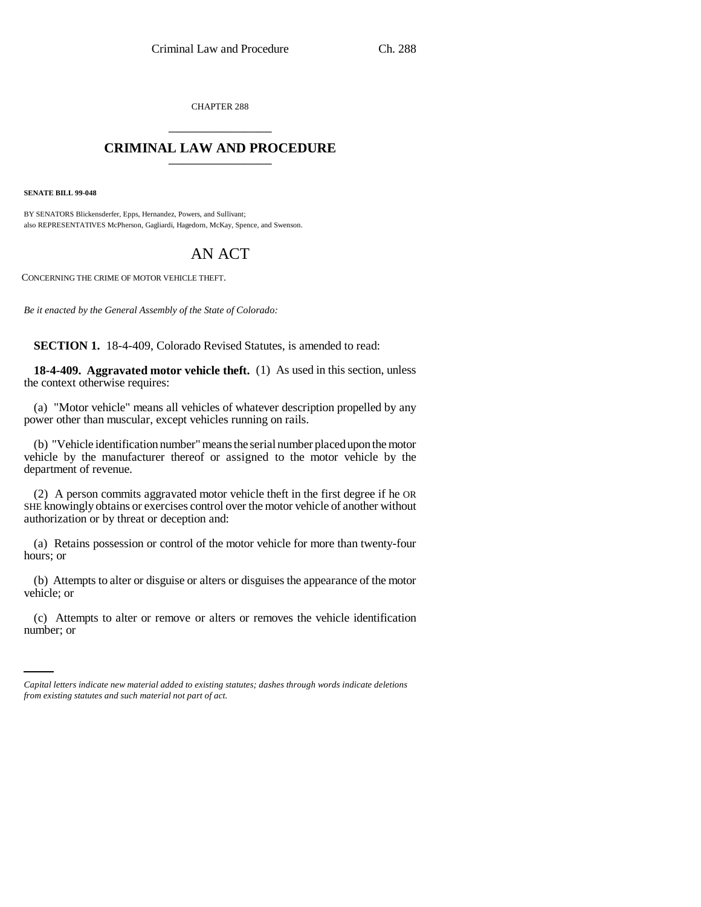CHAPTER 288 \_\_\_\_\_\_\_\_\_\_\_\_\_\_\_

## **CRIMINAL LAW AND PROCEDURE** \_\_\_\_\_\_\_\_\_\_\_\_\_\_\_

**SENATE BILL 99-048**

BY SENATORS Blickensderfer, Epps, Hernandez, Powers, and Sullivant; also REPRESENTATIVES McPherson, Gagliardi, Hagedorn, McKay, Spence, and Swenson.

## AN ACT

CONCERNING THE CRIME OF MOTOR VEHICLE THEFT.

*Be it enacted by the General Assembly of the State of Colorado:*

**SECTION 1.** 18-4-409, Colorado Revised Statutes, is amended to read:

**18-4-409. Aggravated motor vehicle theft.** (1) As used in this section, unless the context otherwise requires:

(a) "Motor vehicle" means all vehicles of whatever description propelled by any power other than muscular, except vehicles running on rails.

(b) "Vehicle identification number" means the serial number placed upon the motor vehicle by the manufacturer thereof or assigned to the motor vehicle by the department of revenue.

(2) A person commits aggravated motor vehicle theft in the first degree if he OR SHE knowingly obtains or exercises control over the motor vehicle of another without authorization or by threat or deception and:

(a) Retains possession or control of the motor vehicle for more than twenty-four hours; or

(b) Attempts to alter or disguise or alters or disguises the appearance of the motor vehicle; or

(c) Attempts to alter or remove or alters or removes the vehicle identification number; or

*Capital letters indicate new material added to existing statutes; dashes through words indicate deletions from existing statutes and such material not part of act.*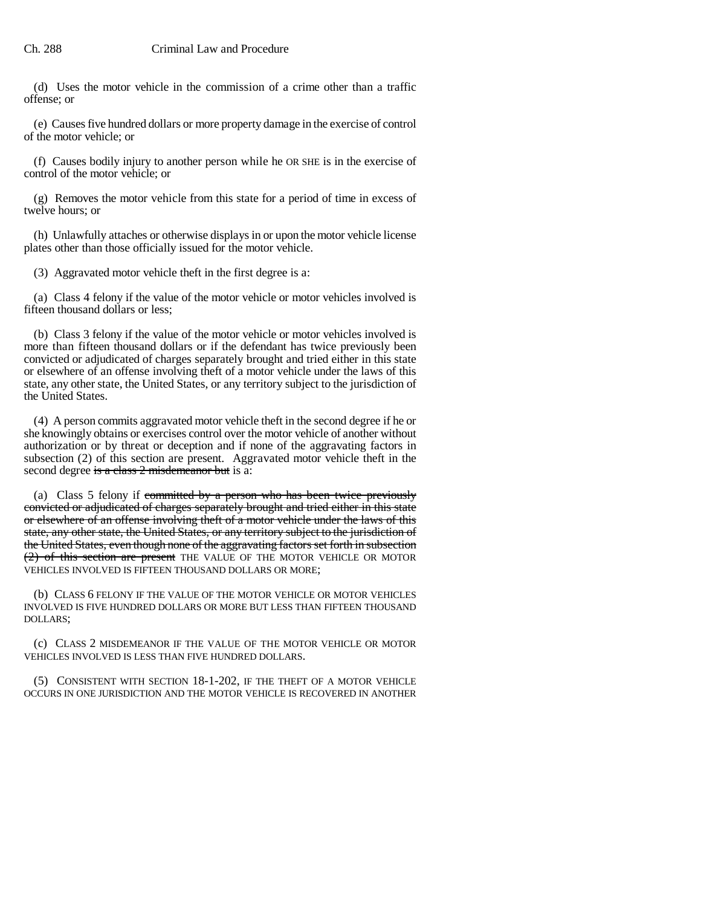(d) Uses the motor vehicle in the commission of a crime other than a traffic offense; or

(e) Causes five hundred dollars or more property damage in the exercise of control of the motor vehicle; or

(f) Causes bodily injury to another person while he OR SHE is in the exercise of control of the motor vehicle; or

(g) Removes the motor vehicle from this state for a period of time in excess of twelve hours; or

(h) Unlawfully attaches or otherwise displays in or upon the motor vehicle license plates other than those officially issued for the motor vehicle.

(3) Aggravated motor vehicle theft in the first degree is a:

(a) Class 4 felony if the value of the motor vehicle or motor vehicles involved is fifteen thousand dollars or less;

(b) Class 3 felony if the value of the motor vehicle or motor vehicles involved is more than fifteen thousand dollars or if the defendant has twice previously been convicted or adjudicated of charges separately brought and tried either in this state or elsewhere of an offense involving theft of a motor vehicle under the laws of this state, any other state, the United States, or any territory subject to the jurisdiction of the United States.

(4) A person commits aggravated motor vehicle theft in the second degree if he or she knowingly obtains or exercises control over the motor vehicle of another without authorization or by threat or deception and if none of the aggravating factors in subsection (2) of this section are present. Aggravated motor vehicle theft in the second degree is a class 2 misdemeanor but is a:

(a) Class 5 felony if committed by a person who has been twice previously convicted or adjudicated of charges separately brought and tried either in this state or elsewhere of an offense involving theft of a motor vehicle under the laws of this state, any other state, the United States, or any territory subject to the jurisdiction of the United States, even though none of the aggravating factors set forth in subsection (2) of this section are present THE VALUE OF THE MOTOR VEHICLE OR MOTOR VEHICLES INVOLVED IS FIFTEEN THOUSAND DOLLARS OR MORE;

(b) CLASS 6 FELONY IF THE VALUE OF THE MOTOR VEHICLE OR MOTOR VEHICLES INVOLVED IS FIVE HUNDRED DOLLARS OR MORE BUT LESS THAN FIFTEEN THOUSAND DOLLARS;

(c) CLASS 2 MISDEMEANOR IF THE VALUE OF THE MOTOR VEHICLE OR MOTOR VEHICLES INVOLVED IS LESS THAN FIVE HUNDRED DOLLARS.

(5) CONSISTENT WITH SECTION 18-1-202, IF THE THEFT OF A MOTOR VEHICLE OCCURS IN ONE JURISDICTION AND THE MOTOR VEHICLE IS RECOVERED IN ANOTHER